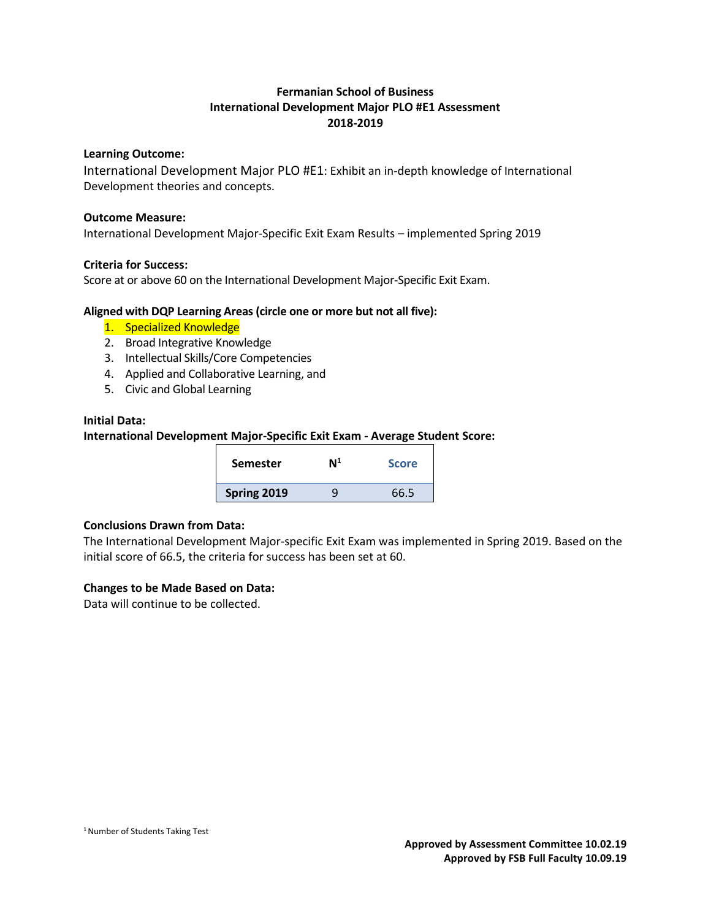## **Fermanian School of Business International Development Major PLO #E1 Assessment 2018-2019**

## **Learning Outcome:**

International Development Major PLO #E1: Exhibit an in-depth knowledge of International Development theories and concepts.

#### **Outcome Measure:**

International Development Major-Specific Exit Exam Results – implemented Spring 2019

## **Criteria for Success:**

Score at or above 60 on the International Development Major-Specific Exit Exam.

## **Aligned with DQP Learning Areas (circle one or more but not all five):**

- 1. Specialized Knowledge
- 2. Broad Integrative Knowledge
- 3. Intellectual Skills/Core Competencies
- 4. Applied and Collaborative Learning, and
- 5. Civic and Global Learning

#### **Initial Data:**

**International Development Major-Specific Exit Exam - Average Student Score:**

| <b>Semester</b> | N <sup>1</sup> | <b>Score</b> |
|-----------------|----------------|--------------|
| Spring 2019     |                | 66.5         |

## **Conclusions Drawn from Data:**

The International Development Major-specific Exit Exam was implemented in Spring 2019. Based on the initial score of 66.5, the criteria for success has been set at 60.

## **Changes to be Made Based on Data:**

Data will continue to be collected.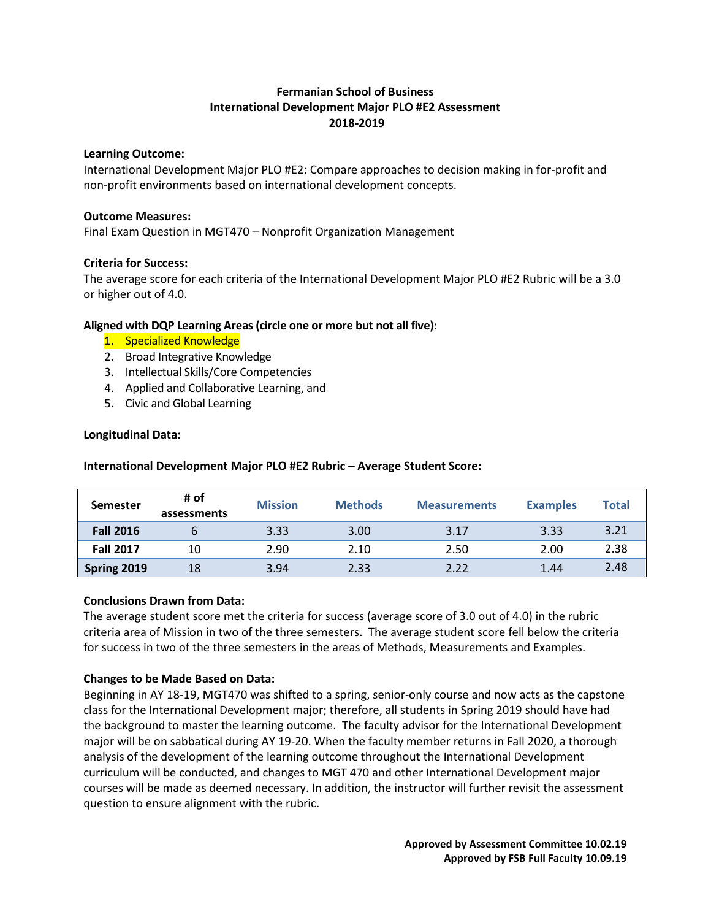## **Fermanian School of Business International Development Major PLO #E2 Assessment 2018-2019**

## **Learning Outcome:**

International Development Major PLO #E2: Compare approaches to decision making in for-profit and non-profit environments based on international development concepts.

## **Outcome Measures:**

Final Exam Question in MGT470 – Nonprofit Organization Management

## **Criteria for Success:**

The average score for each criteria of the International Development Major PLO #E2 Rubric will be a 3.0 or higher out of 4.0.

## **Aligned with DQP Learning Areas (circle one or more but not all five):**

- 1. Specialized Knowledge
- 2. Broad Integrative Knowledge
- 3. Intellectual Skills/Core Competencies
- 4. Applied and Collaborative Learning, and
- 5. Civic and Global Learning

## **Longitudinal Data:**

| <b>Semester</b>  | # of<br>assessments | <b>Mission</b> | <b>Methods</b> | <b>Measurements</b> | <b>Examples</b> | <b>Total</b> |
|------------------|---------------------|----------------|----------------|---------------------|-----------------|--------------|
| <b>Fall 2016</b> |                     | 3.33           | 3.00           | 3.17                | 3.33            | 3.21         |
| <b>Fall 2017</b> | 10                  | 2.90           | 2.10           | 2.50                | 2.00            | 2.38         |
| Spring 2019      | 18                  | 3.94           | 2.33           | 2.22                | 1.44            | 2.48         |

**International Development Major PLO #E2 Rubric – Average Student Score:**

## **Conclusions Drawn from Data:**

The average student score met the criteria for success (average score of 3.0 out of 4.0) in the rubric criteria area of Mission in two of the three semesters. The average student score fell below the criteria for success in two of the three semesters in the areas of Methods, Measurements and Examples.

## **Changes to be Made Based on Data:**

Beginning in AY 18-19, MGT470 was shifted to a spring, senior-only course and now acts as the capstone class for the International Development major; therefore, all students in Spring 2019 should have had the background to master the learning outcome. The faculty advisor for the International Development major will be on sabbatical during AY 19-20. When the faculty member returns in Fall 2020, a thorough analysis of the development of the learning outcome throughout the International Development curriculum will be conducted, and changes to MGT 470 and other International Development major courses will be made as deemed necessary. In addition, the instructor will further revisit the assessment question to ensure alignment with the rubric.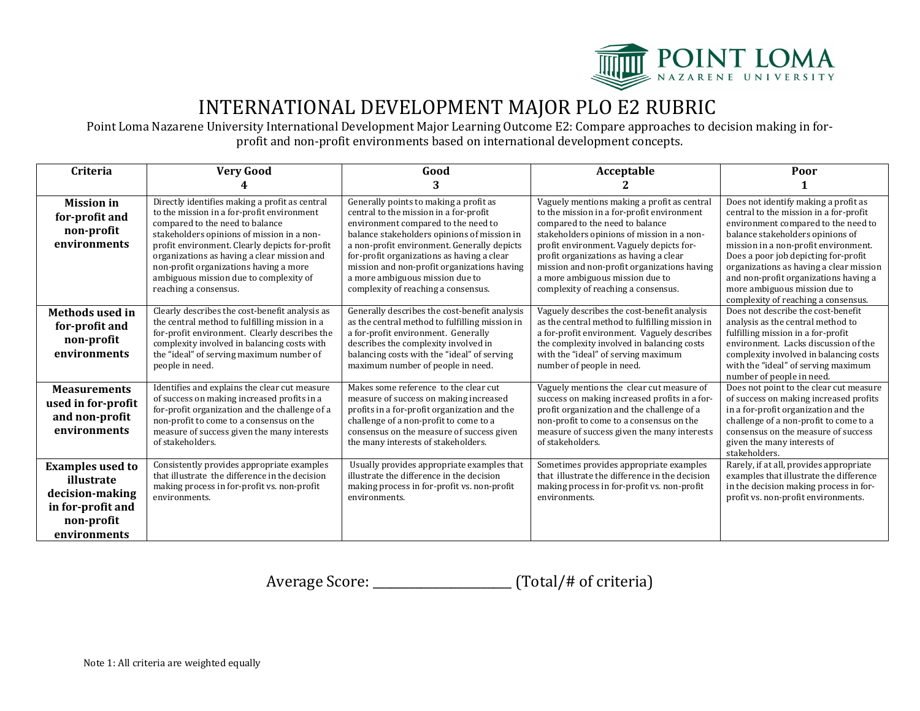

## INTERNATIONAL DEVELOPMENT MAJOR PLO E2 RUBRIC

Point Loma Nazarene University International Development Major Learning Outcome E2: Compare approaches to decision making in forprofit and non-profit environments based on international development concepts.

| <b>Criteria</b>                                                                                             | <b>Very Good</b>                                                                                                                                                                                                                                                                                                                                                                            | Good                                                                                                                                                                                                                                                                                                                                                                                         | Acceptable                                                                                                                                                                                                                                                                                                                                                                                | Poor                                                                                                                                                                                                                                                                                                                                                                                                  |
|-------------------------------------------------------------------------------------------------------------|---------------------------------------------------------------------------------------------------------------------------------------------------------------------------------------------------------------------------------------------------------------------------------------------------------------------------------------------------------------------------------------------|----------------------------------------------------------------------------------------------------------------------------------------------------------------------------------------------------------------------------------------------------------------------------------------------------------------------------------------------------------------------------------------------|-------------------------------------------------------------------------------------------------------------------------------------------------------------------------------------------------------------------------------------------------------------------------------------------------------------------------------------------------------------------------------------------|-------------------------------------------------------------------------------------------------------------------------------------------------------------------------------------------------------------------------------------------------------------------------------------------------------------------------------------------------------------------------------------------------------|
|                                                                                                             |                                                                                                                                                                                                                                                                                                                                                                                             | 3                                                                                                                                                                                                                                                                                                                                                                                            |                                                                                                                                                                                                                                                                                                                                                                                           |                                                                                                                                                                                                                                                                                                                                                                                                       |
| <b>Mission</b> in<br>for-profit and<br>non-profit<br>environments                                           | Directly identifies making a profit as central<br>to the mission in a for-profit environment<br>compared to the need to balance<br>stakeholders opinions of mission in a non-<br>profit environment. Clearly depicts for-profit<br>organizations as having a clear mission and<br>non-profit organizations having a more<br>ambiguous mission due to complexity of<br>reaching a consensus. | Generally points to making a profit as<br>central to the mission in a for-profit<br>environment compared to the need to<br>balance stakeholders opinions of mission in<br>a non-profit environment. Generally depicts<br>for-profit organizations as having a clear<br>mission and non-profit organizations having<br>a more ambiguous mission due to<br>complexity of reaching a consensus. | Vaguely mentions making a profit as central<br>to the mission in a for-profit environment<br>compared to the need to balance<br>stakeholders opinions of mission in a non-<br>profit environment. Vaguely depicts for-<br>profit organizations as having a clear<br>mission and non-profit organizations having<br>a more ambiguous mission due to<br>complexity of reaching a consensus. | Does not identify making a profit as<br>central to the mission in a for-profit<br>environment compared to the need to<br>balance stakeholders opinions of<br>mission in a non-profit environment.<br>Does a poor job depicting for-profit<br>organizations as having a clear mission<br>and non-profit organizations having a<br>more ambiguous mission due to<br>complexity of reaching a consensus. |
| <b>Methods used in</b><br>for-profit and<br>non-profit<br>environments                                      | Clearly describes the cost-benefit analysis as<br>the central method to fulfilling mission in a<br>for-profit environment. Clearly describes the<br>complexity involved in balancing costs with<br>the "ideal" of serving maximum number of<br>people in need.                                                                                                                              | Generally describes the cost-benefit analysis<br>as the central method to fulfilling mission in<br>a for-profit environment. Generally<br>describes the complexity involved in<br>balancing costs with the "ideal" of serving<br>maximum number of people in need.                                                                                                                           | Vaguely describes the cost-benefit analysis<br>as the central method to fulfilling mission in<br>a for-profit environment. Vaguely describes<br>the complexity involved in balancing costs<br>with the "ideal" of serving maximum<br>number of people in need.                                                                                                                            | Does not describe the cost-benefit<br>analysis as the central method to<br>fulfilling mission in a for-profit<br>environment. Lacks discussion of the<br>complexity involved in balancing costs<br>with the "ideal" of serving maximum<br>number of people in need.                                                                                                                                   |
| <b>Measurements</b><br>used in for-profit<br>and non-profit<br>environments                                 | Identifies and explains the clear cut measure<br>of success on making increased profits in a<br>for-profit organization and the challenge of a<br>non-profit to come to a consensus on the<br>measure of success given the many interests<br>of stakeholders.                                                                                                                               | Makes some reference to the clear cut<br>measure of success on making increased<br>profits in a for-profit organization and the<br>challenge of a non-profit to come to a<br>consensus on the measure of success given<br>the many interests of stakeholders.                                                                                                                                | Vaguely mentions the clear cut measure of<br>success on making increased profits in a for-<br>profit organization and the challenge of a<br>non-profit to come to a consensus on the<br>measure of success given the many interests<br>of stakeholders.                                                                                                                                   | Does not point to the clear cut measure<br>of success on making increased profits<br>in a for-profit organization and the<br>challenge of a non-profit to come to a<br>consensus on the measure of success<br>given the many interests of<br>stakeholders.                                                                                                                                            |
| <b>Examples used to</b><br>illustrate<br>decision-making<br>in for-profit and<br>non-profit<br>environments | Consistently provides appropriate examples<br>that illustrate the difference in the decision<br>making process in for-profit vs. non-profit<br>environments.                                                                                                                                                                                                                                | Usually provides appropriate examples that<br>illustrate the difference in the decision<br>making process in for-profit vs. non-profit<br>environments.                                                                                                                                                                                                                                      | Sometimes provides appropriate examples<br>that illustrate the difference in the decision<br>making process in for-profit vs. non-profit<br>environments.                                                                                                                                                                                                                                 | Rarely, if at all, provides appropriate<br>examples that illustrate the difference<br>in the decision making process in for-<br>profit vs. non-profit environments.                                                                                                                                                                                                                                   |

Average Score: \_\_\_\_\_\_\_\_\_\_\_\_\_\_\_\_\_\_\_\_\_\_\_ (Total/# of criteria)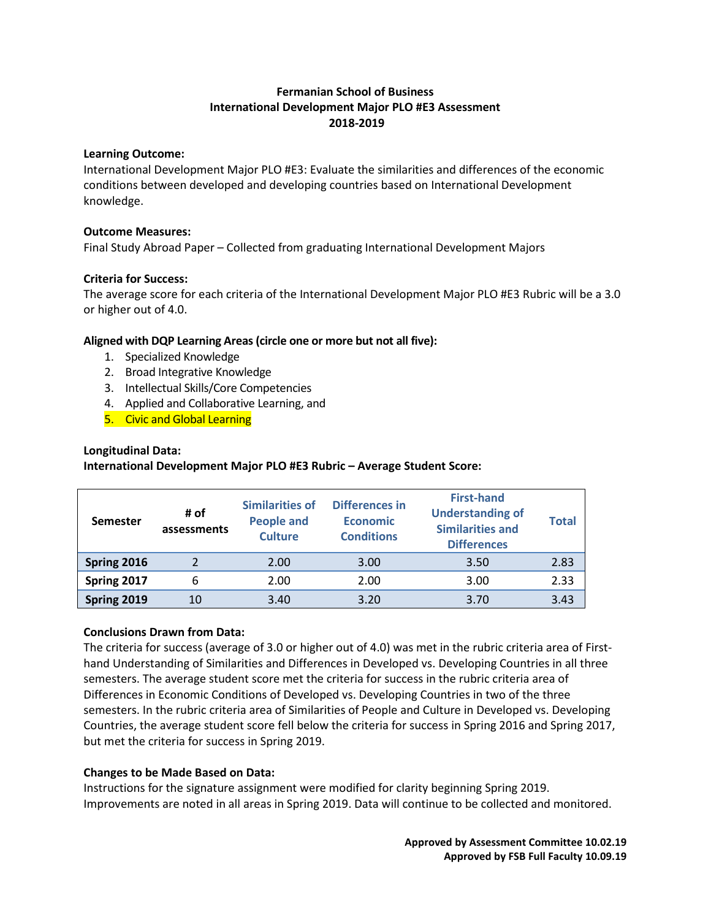## **Fermanian School of Business International Development Major PLO #E3 Assessment 2018-2019**

## **Learning Outcome:**

International Development Major PLO #E3: Evaluate the similarities and differences of the economic conditions between developed and developing countries based on International Development knowledge.

## **Outcome Measures:**

Final Study Abroad Paper – Collected from graduating International Development Majors

## **Criteria for Success:**

The average score for each criteria of the International Development Major PLO #E3 Rubric will be a 3.0 or higher out of 4.0.

## **Aligned with DQP Learning Areas (circle one or more but not all five):**

- 1. Specialized Knowledge
- 2. Broad Integrative Knowledge
- 3. Intellectual Skills/Core Competencies
- 4. Applied and Collaborative Learning, and
- 5. Civic and Global Learning

## **Longitudinal Data:**

**International Development Major PLO #E3 Rubric – Average Student Score:**

| <b>Semester</b> | # of<br>assessments | <b>Similarities of</b><br><b>People and</b><br><b>Culture</b> | Differences in<br><b>Economic</b><br><b>Conditions</b> | <b>First-hand</b><br><b>Understanding of</b><br><b>Similarities and</b><br><b>Differences</b> | <b>Total</b> |
|-----------------|---------------------|---------------------------------------------------------------|--------------------------------------------------------|-----------------------------------------------------------------------------------------------|--------------|
| Spring 2016     | $\mathcal{P}$       | 2.00                                                          | 3.00                                                   | 3.50                                                                                          | 2.83         |
| Spring 2017     | 6                   | 2.00                                                          | 2.00                                                   | 3.00                                                                                          | 2.33         |
| Spring 2019     | 10                  | 3.40                                                          | 3.20                                                   | 3.70                                                                                          | 3.43         |

## **Conclusions Drawn from Data:**

The criteria for success (average of 3.0 or higher out of 4.0) was met in the rubric criteria area of Firsthand Understanding of Similarities and Differences in Developed vs. Developing Countries in all three semesters. The average student score met the criteria for success in the rubric criteria area of Differences in Economic Conditions of Developed vs. Developing Countries in two of the three semesters. In the rubric criteria area of Similarities of People and Culture in Developed vs. Developing Countries, the average student score fell below the criteria for success in Spring 2016 and Spring 2017, but met the criteria for success in Spring 2019.

## **Changes to be Made Based on Data:**

Instructions for the signature assignment were modified for clarity beginning Spring 2019. Improvements are noted in all areas in Spring 2019. Data will continue to be collected and monitored.